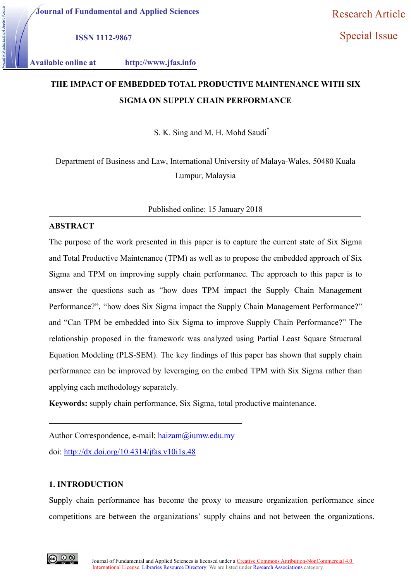ISSN 1112-9867

Special Issue

Available online at http://www.jfas.info

# THE IMPACT OF EMBEDDED TOTAL PRODUCTIVE MAINTENANCE WITH SIX SIGMA ON SUPPLY CHAIN PERFORMANCE

S. K. Sing and M. H. Mohd Saudi\*

Department of Business and Law, International University of Malaya-Wales, 50480 Kuala Lumpur, Malaysia

Published online: 15 January 2018

## **ABSTRACT**

The purpose of the work presented in this paper is to capture the current state of Six Sigma and Total Productive Maintenance (TPM) as well as to propose the embedded approach of Six Sigma and TPM on improving supply chain performance. The approach to this paper is to answer the questions such as "how does TPM impact the Supply Chain Management Performance?", "how does Six Sigma impact the Supply Chain Management Performance?" and "Can TPM be embedded into Six Sigma to improve Supply Chain Performance?" The relationship proposed in the framework was analyzed using Partial Least Square Structural Equation Modeling (PLS-SEM). The key findings of this paper has shown that supply chain performance can be improved by leveraging on the embed TPM with Six Sigma rather than applying each methodology separately.

Keywords: supply chain performance, Six Sigma, total productive maintenance.

Author Correspondence, e-mail: haizam@iumw.edu.my doi: http://dx.doi.org/10.4314/jfas.v10i1s.48

## 1. INTRODUCTION

Supply chain performance has become the proxy to measure organization performance since competitions are between the organizations' supply chains and not between the organizations.

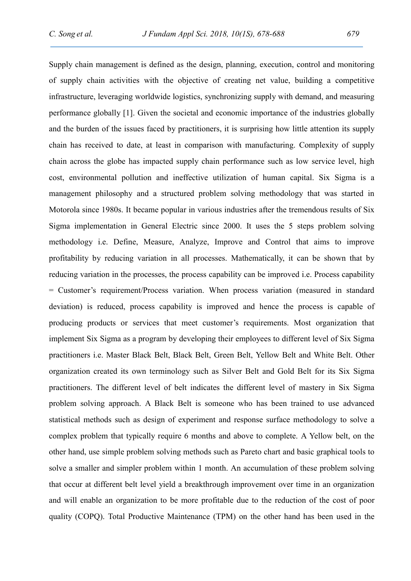Supply chain management is defined as the design, planning, execution, control and monitoring of supply chain activities with the objective of creating net value, building a competitive infrastructure, leveraging worldwide logistics, synchronizing supply with demand, and measuring performance globally [1]. Given the societal and economic importance of the industries globally and the burden of the issues faced by practitioners, it is surprising how little attention its supply chain has received to date, at least in comparison with manufacturing. Complexity of supply chain across the globe has impacted supply chain performance such as low service level, high cost, environmental pollution and ineffective utilization of human capital. Six Sigma is a management philosophy and a structured problem solving methodology that was started in Motorola since 1980s. It became popular in various industries after the tremendous results of Six Sigma implementation in General Electric since 2000. It uses the 5 steps problem solving methodology i.e. Define, Measure, Analyze, Improve and Control that aims to improve profitability by reducing variation in all processes. Mathematically, it can be shown that by reducing variation in the processes, the process capability can be improved i.e. Process capability = Customer's requirement/Process variation. When process variation (measured in standard deviation) is reduced, process capability is improved and hence the process is capable of producing products or services that meet customer's requirements. Most organization that implement Six Sigma as a program by developing their employees to different level of Six Sigma practitioners i.e. Master Black Belt, Black Belt, Green Belt, Yellow Belt and White Belt. Other organization created its own terminology such as Silver Belt and Gold Belt for its Six Sigma practitioners. The different level of belt indicates the different level of mastery in Six Sigma problem solving approach. A Black Belt is someone who has been trained to use advanced statistical methods such as design of experiment and response surface methodology to solve a complex problem that typically require 6 months and above to complete. A Yellow belt, on the other hand, use simple problem solving methods such as Pareto chart and basic graphical tools to solve a smaller and simpler problem within 1 month. An accumulation of these problem solving that occur at different belt level yield a breakthrough improvement over time in an organization and will enable an organization to be more profitable due to the reduction of the cost of poor quality (COPQ). Total Productive Maintenance (TPM) on the other hand has been used in the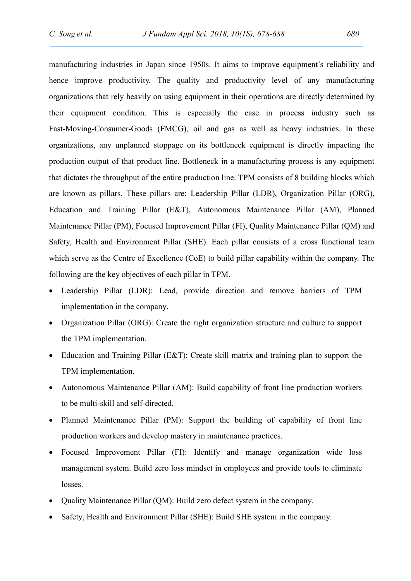manufacturing industries in Japan since 1950s. It aims to improve equipment's reliability and hence improve productivity. The quality and productivity level of any manufacturing organizations that rely heavily on using equipment in their operations are directly determined by their equipment condition. This is especially the case in process industry such as Fast-Moving-Consumer-Goods (FMCG), oil and gas as well as heavy industries. In these organizations, any unplanned stoppage on its bottleneck equipment is directly impacting the production output of that product line. Bottleneck in a manufacturing process is any equipment that dictates the throughput of the entire production line. TPM consists of 8 building blocks which are known as pillars. These pillars are: Leadership Pillar (LDR), Organization Pillar (ORG), Education and Training Pillar (E&T), Autonomous Maintenance Pillar (AM), Planned Maintenance Pillar (PM), Focused Improvement Pillar (FI), Quality Maintenance Pillar (QM) and Safety, Health and Environment Pillar (SHE). Each pillar consists of a cross functional team which serve as the Centre of Excellence (CoE) to build pillar capability within the company. The following are the key objectives of each pillar in TPM.

- Leadership Pillar (LDR): Lead, provide direction and remove barriers of TPM implementation in the company.
- Organization Pillar (ORG): Create the right organization structure and culture to support the TPM implementation.
- Education and Training Pillar (E&T): Create skill matrix and training plan to support the TPM implementation.
- Autonomous Maintenance Pillar (AM): Build capability of front line production workers to be multi-skill and self-directed.
- Planned Maintenance Pillar (PM): Support the building of capability of front line production workers and develop mastery in maintenance practices.
- Focused Improvement Pillar (FI): Identify and manage organization wide loss management system. Build zero loss mindset in employees and provide tools to eliminate losses.
- Quality Maintenance Pillar (QM): Build zero defect system in the company.
- Safety, Health and Environment Pillar (SHE): Build SHE system in the company.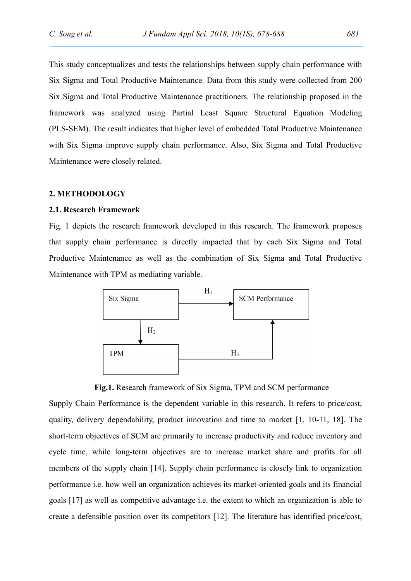This study conceptualizes and tests the relationships between supply chain performance with Six Sigma and Total Productive Maintenance. Data from this study were collected from 200 Six Sigma and Total Productive Maintenance practitioners. The relationship proposed in the framework was analyzed using Partial Least Square Structural Equation Modeling (PLS-SEM). The result indicates that higher level of embedded Total Productive Maintenance with Six Sigma improve supply chain performance. Also, Six Sigma and Total Productive Maintenance were closely related.

#### 2. METHODOLOGY

#### 2.1. Research Framework

Fig. 1 depicts the research framework developed in this research. The framework proposes that supply chain performance is directly impacted that by each Six Sigma and Total Productive Maintenance as well as the combination of Six Sigma and Total Productive Maintenance with TPM as mediating variable.



Fig.1. Research framework of Six Sigma, TPM and SCM performance

Supply Chain Performance is the dependent variable in this research. It refers to price/cost, quality, delivery dependability, product innovation and time to market [1, 10-11, 18]. The short-term objectives of SCM are primarily to increase productivity and reduce inventory and cycle time, while long-term objectives are to increase market share and profits for all members of the supply chain [14]. Supply chain performance is closely link to organization performance i.e. how well an organization achieves its market-oriented goals and its financial goals [17] as well as competitive advantage i.e. the extent to which an organization is able to create a defensible position over its competitors [12]. The literature has identified price/cost,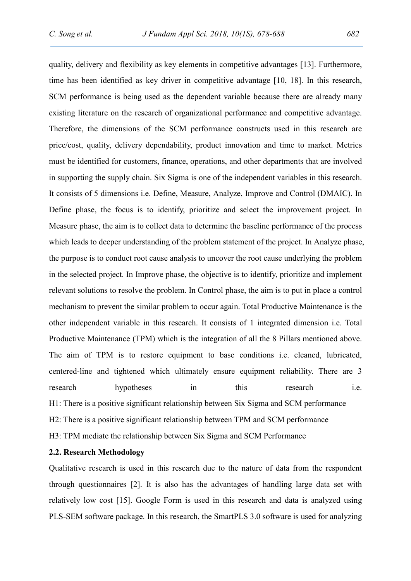quality, delivery and flexibility as key elements in competitive advantages [13]. Furthermore, time has been identified as key driver in competitive advantage [10, 18]. In this research, SCM performance is being used as the dependent variable because there are already many existing literature on the research of organizational performance and competitive advantage. Therefore, the dimensions of the SCM performance constructs used in this research are price/cost, quality, delivery dependability, product innovation and time to market. Metrics must be identified for customers, finance, operations, and other departments that are involved in supporting the supply chain. Six Sigma is one of the independent variables in this research. It consists of 5 dimensions i.e. Define, Measure, Analyze, Improve and Control (DMAIC). In Define phase, the focus is to identify, prioritize and select the improvement project. In Measure phase, the aim is to collect data to determine the baseline performance of the process which leads to deeper understanding of the problem statement of the project. In Analyze phase, the purpose is to conduct root cause analysis to uncover the root cause underlying the problem in the selected project. In Improve phase, the objective is to identify, prioritize and implement relevant solutions to resolve the problem. In Control phase, the aim is to put in place a control mechanism to prevent the similar problem to occur again. Total Productive Maintenance is the other independent variable in this research. It consists of 1 integrated dimension i.e. Total Productive Maintenance (TPM) which is the integration of all the 8 Pillars mentioned above. The aim of TPM is to restore equipment to base conditions i.e. cleaned, lubricated, centered-line and tightened which ultimately ensure equipment reliability. There are 3 research hypotheses in this research i.e. H1: There is a positive significant relationship between Six Sigma and SCM performance H2: There is a positive significant relationship between TPM and SCM performance H3: TPM mediate the relationship between Six Sigma and SCM Performance

#### 2.2. Research Methodology

Qualitative research is used in this research due to the nature of data from the respondent through questionnaires [2]. It is also has the advantages of handling large data set with relatively low cost [15]. Google Form is used in this research and data is analyzed using PLS-SEM software package. In this research, the SmartPLS 3.0 software is used for analyzing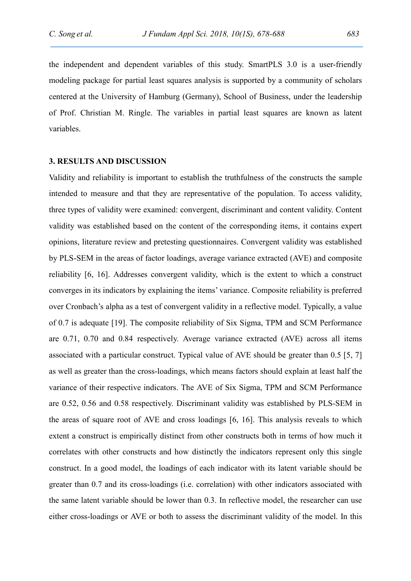the independent and dependent variables of this study. SmartPLS 3.0 is a user-friendly modeling package for partial least squares analysis is supported by a community of scholars centered at the University of Hamburg (Germany), School of Business, under the leadership of Prof. Christian M. Ringle. The variables in partial least squares are known as latent variables.

## 3. RESULTS AND DISCUSSION

Validity and reliability is important to establish the truthfulness of the constructs the sample intended to measure and that they are representative of the population. To access validity, three types of validity were examined: convergent, discriminant and content validity. Content validity was established based on the content of the corresponding items, it contains expert opinions, literature review and pretesting questionnaires. Convergent validity was established by PLS-SEM in the areas of factor loadings, average variance extracted (AVE) and composite reliability [6, 16]. Addresses convergent validity, which is the extent to which a construct converges in its indicators by explaining the items' variance. Composite reliability is preferred over Cronbach's alpha as a test of convergent validity in a reflective model. Typically, a value of 0.7 is adequate [19]. The composite reliability of Six Sigma, TPM and SCM Performance are 0.71, 0.70 and 0.84 respectively. Average variance extracted (AVE) across all items associated with a particular construct. Typical value of AVE should be greater than 0.5 [5, 7] as well as greater than the cross-loadings, which means factors should explain at least half the variance of their respective indicators. The AVE of Six Sigma, TPM and SCM Performance are 0.52, 0.56 and 0.58 respectively. Discriminant validity was established by PLS-SEM in the areas of square root of AVE and cross loadings [6, 16]. This analysis reveals to which extent a construct is empirically distinct from other constructs both in terms of how much it correlates with other constructs and how distinctly the indicators represent only this single construct. In a good model, the loadings of each indicator with its latent variable should be greater than 0.7 and its cross-loadings (i.e. correlation) with other indicators associated with the same latent variable should be lower than 0.3. In reflective model, the researcher can use either cross-loadings or AVE or both to assess the discriminant validity of the model. In this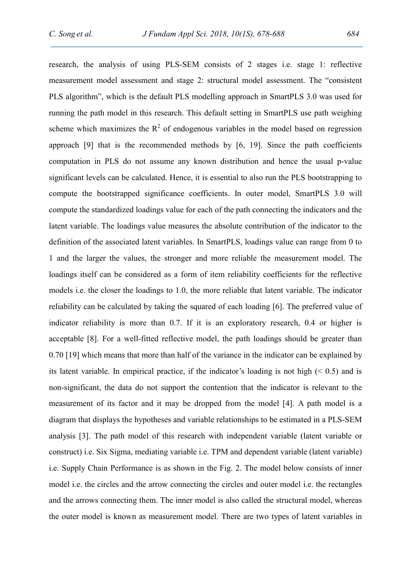research, the analysis of using PLS-SEM consists of 2 stages i.e. stage 1: reflective measurement model assessment and stage 2: structural model assessment. The "consistent PLS algorithm", which is the default PLS modelling approach in SmartPLS 3.0 was used for running the path model in this research. This default setting in SmartPLS use path weighing scheme which maximizes the  $R^2$  of endogenous variables in the model based on regression approach [9] that is the recommended methods by [6, 19]. Since the path coefficients computation in PLS do not assume any known distribution and hence the usual p-value significant levels can be calculated. Hence, it is essential to also run the PLS bootstrapping to compute the bootstrapped significance coefficients. In outer model, SmartPLS 3.0 will compute the standardized loadings value for each of the path connecting the indicators and the latent variable. The loadings value measures the absolute contribution of the indicator to the definition of the associated latent variables. In SmartPLS, loadings value can range from 0 to 1 and the larger the values, the stronger and more reliable the measurement model. The loadings itself can be considered as a form of item reliability coefficients for the reflective models i.e. the closer the loadings to 1.0, the more reliable that latent variable. The indicator reliability can be calculated by taking the squared of each loading [6]. The preferred value of indicator reliability is more than 0.7. If it is an exploratory research, 0.4 or higher is acceptable [8]. For a well-fitted reflective model, the path loadings should be greater than 0.70 [19] which means that more than half of the variance in the indicator can be explained by its latent variable. In empirical practice, if the indicator's loading is not high  $(0.5)$  and is non-significant, the data do not support the contention that the indicator is relevant to the measurement of its factor and it may be dropped from the model [4]. A path model is a diagram that displays the hypotheses and variable relationships to be estimated in a PLS-SEM analysis [3]. The path model of this research with independent variable (latent variable or construct) i.e. Six Sigma, mediating variable i.e. TPM and dependent variable (latent variable) i.e. Supply Chain Performance is as shown in the Fig. 2. The model below consists of inner model i.e. the circles and the arrow connecting the circles and outer model i.e. the rectangles and the arrows connecting them. The inner model is also called the structural model, whereas the outer model is known as measurement model. There are two types of latent variables in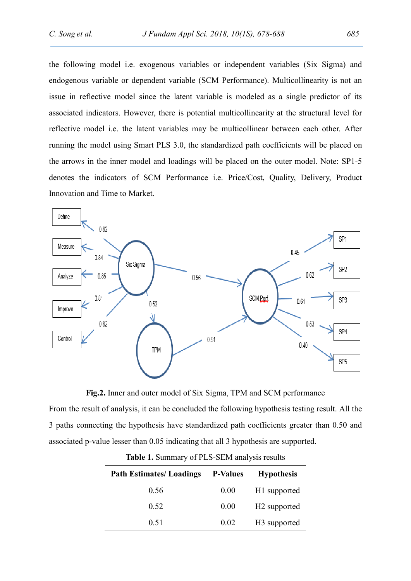the following model i.e. exogenous variables or independent variables (Six Sigma) and endogenous variable or dependent variable (SCM Performance). Multicollinearity is not an issue in reflective model since the latent variable is modeled as a single predictor of its associated indicators. However, there is potential multicollinearity at the structural level for reflective model i.e. the latent variables may be multicollinear between each other. After running the model using Smart PLS 3.0, the standardized path coefficients will be placed on the arrows in the inner model and loadings will be placed on the outer model. Note: SP1-5 denotes the indicators of SCM Performance i.e. Price/Cost, Quality, Delivery, Product Innovation and Time to Market.



Fig.2. Inner and outer model of Six Sigma, TPM and SCM performance

From the result of analysis, it can be concluded the following hypothesis testing result. All the 3 paths connecting the hypothesis have standardized path coefficients greater than 0.50 and associated p-value lesser than 0.05 indicating that all 3 hypothesis are supported.

| <b>Path Estimates/Loadings</b> | <b>P-Values</b> | <b>Hypothesis</b>        |
|--------------------------------|-----------------|--------------------------|
| 0.56                           | 0.00            | H1 supported             |
| 0.52                           | 0.00            | H <sub>2</sub> supported |
| 0.51                           | 0.02            | H <sub>3</sub> supported |

Table 1. Summary of PLS-SEM analysis results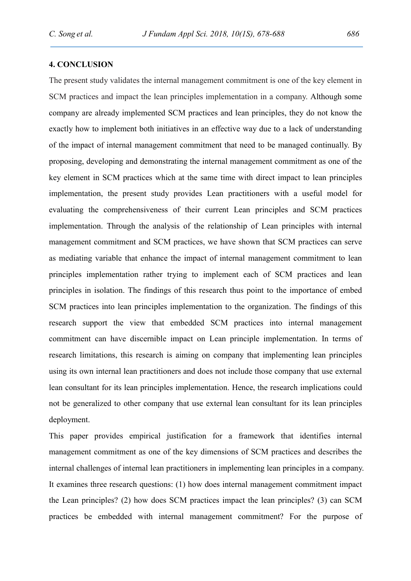## 4. CONCLUSION

The present study validates the internal management commitment is one of the key element in SCM practices and impact the lean principles implementation in a company. Although some company are already implemented SCM practices and lean principles, they do not know the exactly how to implement both initiatives in an effective way due to a lack of understanding of the impact of internal management commitment that need to be managed continually. By proposing, developing and demonstrating the internal management commitment as one of the key element in SCM practices which at the same time with direct impact to lean principles implementation, the present study provides Lean practitioners with a useful model for evaluating the comprehensiveness of their current Lean principles and SCM practices implementation. Through the analysis of the relationship of Lean principles with internal management commitment and SCM practices, we have shown that SCM practices can serve as mediating variable that enhance the impact of internal management commitment to lean principles implementation rather trying to implement each of SCM practices and lean principles in isolation. The findings of this research thus point to the importance of embed SCM practices into lean principles implementation to the organization. The findings of this research support the view that embedded SCM practices into internal management commitment can have discernible impact on Lean principle implementation. In terms of research limitations, this research is aiming on company that implementing lean principles using its own internal lean practitioners and does not include those company that use external lean consultant for its lean principles implementation. Hence, the research implications could not be generalized to other company that use external lean consultant for its lean principles deployment.

This paper provides empirical justification for a framework that identifies internal management commitment as one of the key dimensions of SCM practices and describes the internal challenges of internal lean practitioners in implementing lean principles in a company. It examines three research questions: (1) how does internal management commitment impact the Lean principles? (2) how does SCM practices impact the lean principles? (3) can SCM practices be embedded with internal management commitment? For the purpose of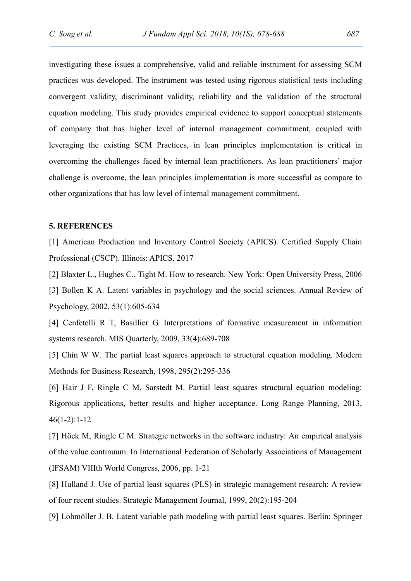investigating these issues a comprehensive, valid and reliable instrument for assessing SCM practices was developed. The instrument was tested using rigorous statistical tests including convergent validity, discriminant validity, reliability and the validation of the structural equation modeling. This study provides empirical evidence to support conceptual statements of company that has higher level of internal management commitment, coupled with leveraging the existing SCM Practices, in lean principles implementation is critical in overcoming the challenges faced by internal lean practitioners. As lean practitioners' major challenge is overcome, the lean principles implementation is more successful as compare to other organizations that has low level of internal management commitment.

#### 5. REFERENCES

[1] American Production and Inventory Control Society (APICS). Certified Supply Chain Professional (CSCP). Illinois: APICS, 2017

[2] Blaxter L., Hughes C., Tight M. How to research. New York: Open University Press, 2006 [3] Bollen K A. Latent variables in psychology and the social sciences. Annual Review of Psychology, 2002, 53(1):605-634

[4] Cenfetelli R T, Basillier G. Interpretations of formative measurement in information systems research. MIS Quarterly, 2009, 33(4):689-708

[5] Chin W W. The partial least squares approach to structural equation modeling. Modern Methods for Business Research, 1998, 295(2):295-336

[6] Hair J F, Ringle C M, Sarstedt M. Partial least squares structural equation modeling: Rigorous applications, better results and higher acceptance. Long Range Planning, 2013, 46(1-2):1-12

[7] Höck M, Ringle C M. Strategic networks in the software industry: An empirical analysis of the value continuum. In International Federation of Scholarly Associations of Management (IFSAM) VIIIth World Congress, 2006, pp. 1-21

[8] Hulland J. Use of partial least squares (PLS) in strategic management research: A review of four recent studies. Strategic Management Journal, 1999, 20(2):195-204

[9] Lohmöller J. B. Latent variable path modeling with partial least squares. Berlin: Springer